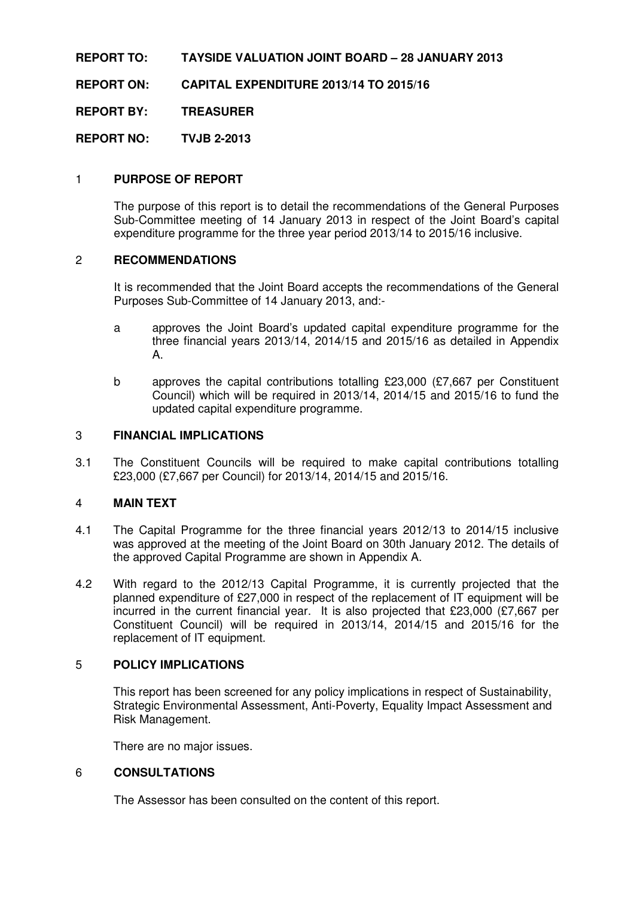### **REPORT TO: TAYSIDE VALUATION JOINT BOARD – 28 JANUARY 2013**

**REPORT ON: CAPITAL EXPENDITURE 2013/14 TO 2015/16** 

**REPORT BY: TREASURER** 

**REPORT NO: TVJB 2-2013** 

## 1 **PURPOSE OF REPORT**

The purpose of this report is to detail the recommendations of the General Purposes Sub-Committee meeting of 14 January 2013 in respect of the Joint Board's capital expenditure programme for the three year period 2013/14 to 2015/16 inclusive.

#### 2 **RECOMMENDATIONS**

It is recommended that the Joint Board accepts the recommendations of the General Purposes Sub-Committee of 14 January 2013, and:-

- a approves the Joint Board's updated capital expenditure programme for the three financial years 2013/14, 2014/15 and 2015/16 as detailed in Appendix A.
- b approves the capital contributions totalling £23,000 (£7,667 per Constituent Council) which will be required in 2013/14, 2014/15 and 2015/16 to fund the updated capital expenditure programme.

#### 3 **FINANCIAL IMPLICATIONS**

3.1 The Constituent Councils will be required to make capital contributions totalling £23,000 (£7,667 per Council) for 2013/14, 2014/15 and 2015/16.

### 4 **MAIN TEXT**

- 4.1 The Capital Programme for the three financial years 2012/13 to 2014/15 inclusive was approved at the meeting of the Joint Board on 30th January 2012. The details of the approved Capital Programme are shown in Appendix A.
- 4.2 With regard to the 2012/13 Capital Programme, it is currently projected that the planned expenditure of £27,000 in respect of the replacement of IT equipment will be incurred in the current financial year. It is also projected that £23,000 (£7,667 per Constituent Council) will be required in 2013/14, 2014/15 and 2015/16 for the replacement of IT equipment.

### 5 **POLICY IMPLICATIONS**

 This report has been screened for any policy implications in respect of Sustainability, Strategic Environmental Assessment, Anti-Poverty, Equality Impact Assessment and Risk Management.

There are no major issues.

#### 6 **CONSULTATIONS**

The Assessor has been consulted on the content of this report.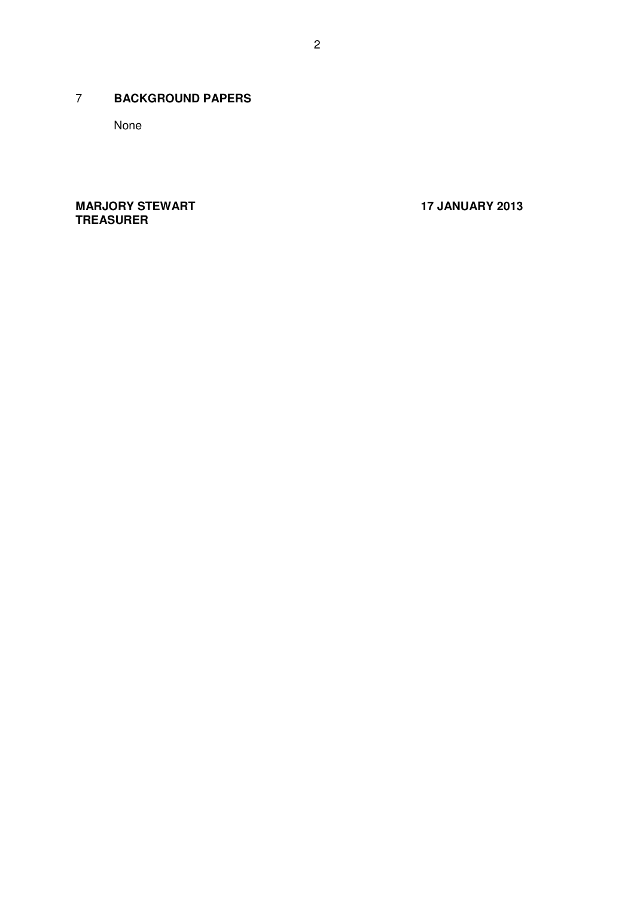## 7 **BACKGROUND PAPERS**

None

**MARJORY STEWART 17 JANUARY 2013 TREASURER**